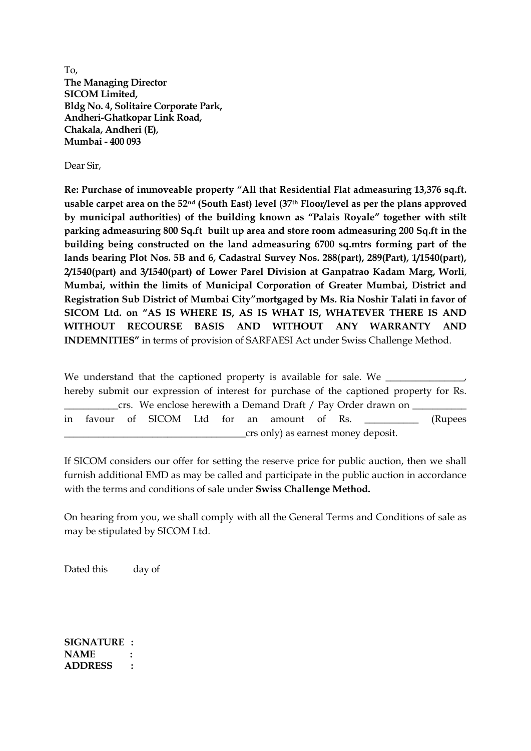To, **The Managing Director SICOM Limited, Bldg No. 4, Solitaire Corporate Park, Andheri-Ghatkopar Link Road, Chakala, Andheri (E), Mumbai - 400 093**

Dear Sir,

**Re: Purchase of immoveable property "All that Residential Flat admeasuring 13,376 sq.ft. usable carpet area on the 52nd (South East) level (37th Floor/level as per the plans approved by municipal authorities) of the building known as "Palais Royale" together with stilt parking admeasuring 800 Sq.ft built up area and store room admeasuring 200 Sq.ft in the building being constructed on the land admeasuring 6700 sq.mtrs forming part of the lands bearing Plot Nos. 5B and 6, Cadastral Survey Nos. 288(part), 289(Part), 1/1540(part), 2/1540(part) and 3/1540(part) of Lower Parel Division at Ganpatrao Kadam Marg, Worli**, **Mumbai, within the limits of Municipal Corporation of Greater Mumbai, District and Registration Sub District of Mumbai City"mortgaged by Ms. Ria Noshir Talati in favor of SICOM Ltd. on "AS IS WHERE IS, AS IS WHAT IS, WHATEVER THERE IS AND WITHOUT RECOURSE BASIS AND WITHOUT ANY WARRANTY AND INDEMNITIES"** in terms of provision of SARFAESI Act under Swiss Challenge Method.

We understand that the captioned property is available for sale. We hereby submit our expression of interest for purchase of the captioned property for Rs. crs. We enclose herewith a Demand Draft / Pay Order drawn on in favour of SICOM Ltd for an amount of Rs. \_\_\_\_\_\_\_\_\_\_\_ (Rupees \_\_\_\_\_\_\_\_\_\_\_\_\_\_\_\_\_\_\_\_\_\_\_\_\_\_\_\_\_\_\_\_\_\_\_\_\_crs only) as earnest money deposit.

If SICOM considers our offer for setting the reserve price for public auction, then we shall furnish additional EMD as may be called and participate in the public auction in accordance with the terms and conditions of sale under **Swiss Challenge Method.**

On hearing from you, we shall comply with all the General Terms and Conditions of sale as may be stipulated by SICOM Ltd.

Dated this day of

**SIGNATURE : NAME : ADDRESS :**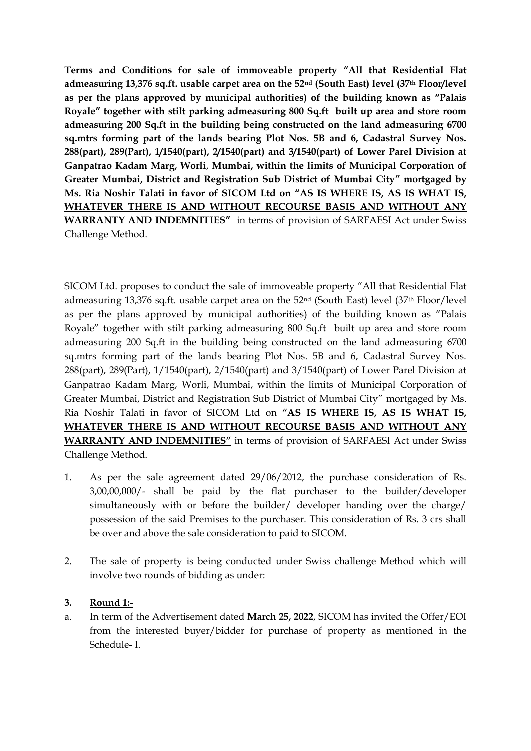**Terms and Conditions for sale of immoveable property "All that Residential Flat admeasuring 13,376 sq.ft. usable carpet area on the 52nd (South East) level (37th Floor/level as per the plans approved by municipal authorities) of the building known as "Palais Royale" together with stilt parking admeasuring 800 Sq.ft built up area and store room admeasuring 200 Sq.ft in the building being constructed on the land admeasuring 6700 sq.mtrs forming part of the lands bearing Plot Nos. 5B and 6, Cadastral Survey Nos. 288(part), 289(Part), 1/1540(part), 2/1540(part) and 3/1540(part) of Lower Parel Division at Ganpatrao Kadam Marg, Worli**, **Mumbai, within the limits of Municipal Corporation of Greater Mumbai, District and Registration Sub District of Mumbai City" mortgaged by Ms. Ria Noshir Talati in favor of SICOM Ltd on "AS IS WHERE IS, AS IS WHAT IS, WHATEVER THERE IS AND WITHOUT RECOURSE BASIS AND WITHOUT ANY WARRANTY AND INDEMNITIES"** in terms of provision of SARFAESI Act under Swiss Challenge Method.

SICOM Ltd. proposes to conduct the sale of immoveable property "All that Residential Flat admeasuring 13,376 sq.ft. usable carpet area on the 52nd (South East) level (37th Floor/level as per the plans approved by municipal authorities) of the building known as "Palais Royale" together with stilt parking admeasuring 800 Sq.ft built up area and store room admeasuring 200 Sq.ft in the building being constructed on the land admeasuring 6700 sq.mtrs forming part of the lands bearing Plot Nos. 5B and 6, Cadastral Survey Nos. 288(part), 289(Part), 1/1540(part), 2/1540(part) and 3/1540(part) of Lower Parel Division at Ganpatrao Kadam Marg, Worli, Mumbai, within the limits of Municipal Corporation of Greater Mumbai, District and Registration Sub District of Mumbai City" mortgaged by Ms. Ria Noshir Talati in favor of SICOM Ltd on **"AS IS WHERE IS, AS IS WHAT IS, WHATEVER THERE IS AND WITHOUT RECOURSE BASIS AND WITHOUT ANY WARRANTY AND INDEMNITIES"** in terms of provision of SARFAESI Act under Swiss Challenge Method.

- 1. As per the sale agreement dated 29/06/2012, the purchase consideration of Rs. 3,00,00,000/- shall be paid by the flat purchaser to the builder/developer simultaneously with or before the builder/ developer handing over the charge/ possession of the said Premises to the purchaser. This consideration of Rs. 3 crs shall be over and above the sale consideration to paid to SICOM.
- 2. The sale of property is being conducted under Swiss challenge Method which will involve two rounds of bidding as under:

## **3. Round 1:-**

a. In term of the Advertisement dated **March 25, 2022**, SICOM has invited the Offer/EOI from the interested buyer/bidder for purchase of property as mentioned in the Schedule- I.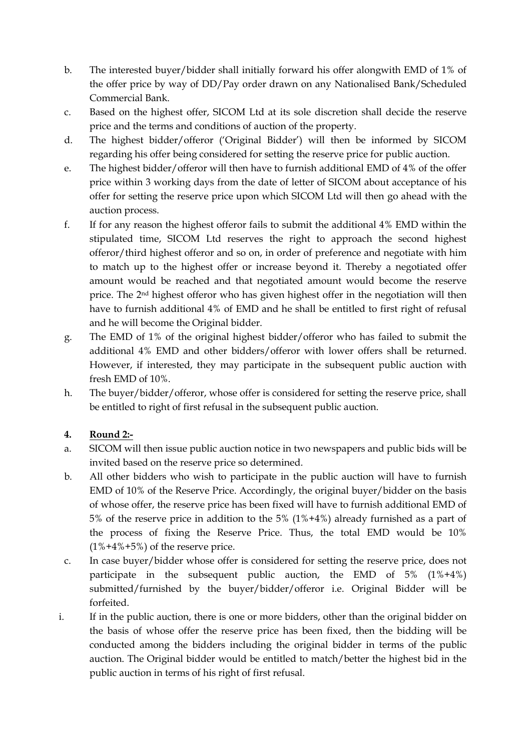- b. The interested buyer/bidder shall initially forward his offer alongwith EMD of 1% of the offer price by way of DD/Pay order drawn on any Nationalised Bank/Scheduled Commercial Bank.
- c. Based on the highest offer, SICOM Ltd at its sole discretion shall decide the reserve price and the terms and conditions of auction of the property.
- d. The highest bidder/offeror ('Original Bidder') will then be informed by SICOM regarding his offer being considered for setting the reserve price for public auction.
- e. The highest bidder/offeror will then have to furnish additional EMD of 4% of the offer price within 3 working days from the date of letter of SICOM about acceptance of his offer for setting the reserve price upon which SICOM Ltd will then go ahead with the auction process.
- f. If for any reason the highest offeror fails to submit the additional 4% EMD within the stipulated time, SICOM Ltd reserves the right to approach the second highest offeror/third highest offeror and so on, in order of preference and negotiate with him to match up to the highest offer or increase beyond it. Thereby a negotiated offer amount would be reached and that negotiated amount would become the reserve price. The 2nd highest offeror who has given highest offer in the negotiation will then have to furnish additional 4% of EMD and he shall be entitled to first right of refusal and he will become the Original bidder.
- g. The EMD of 1% of the original highest bidder/offeror who has failed to submit the additional 4% EMD and other bidders/offeror with lower offers shall be returned. However, if interested, they may participate in the subsequent public auction with fresh EMD of 10%.
- h. The buyer/bidder/offeror, whose offer is considered for setting the reserve price, shall be entitled to right of first refusal in the subsequent public auction.

## **4. Round 2:-**

- a. SICOM will then issue public auction notice in two newspapers and public bids will be invited based on the reserve price so determined.
- b. All other bidders who wish to participate in the public auction will have to furnish EMD of 10% of the Reserve Price. Accordingly, the original buyer/bidder on the basis of whose offer, the reserve price has been fixed will have to furnish additional EMD of 5% of the reserve price in addition to the 5% (1%+4%) already furnished as a part of the process of fixing the Reserve Price. Thus, the total EMD would be 10%  $(1\% + 4\% + 5\%)$  of the reserve price.
- c. In case buyer/bidder whose offer is considered for setting the reserve price, does not participate in the subsequent public auction, the EMD of 5% (1%+4%) submitted/furnished by the buyer/bidder/offeror i.e. Original Bidder will be forfeited.
- i. If in the public auction, there is one or more bidders, other than the original bidder on the basis of whose offer the reserve price has been fixed, then the bidding will be conducted among the bidders including the original bidder in terms of the public auction. The Original bidder would be entitled to match/better the highest bid in the public auction in terms of his right of first refusal.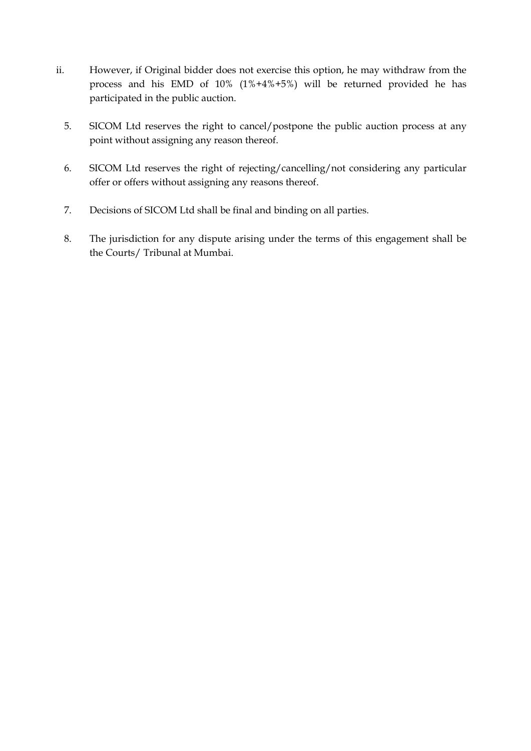- ii. However, if Original bidder does not exercise this option, he may withdraw from the process and his EMD of 10% (1%+4%+5%) will be returned provided he has participated in the public auction.
	- 5. SICOM Ltd reserves the right to cancel/postpone the public auction process at any point without assigning any reason thereof.
	- 6. SICOM Ltd reserves the right of rejecting/cancelling/not considering any particular offer or offers without assigning any reasons thereof.
	- 7. Decisions of SICOM Ltd shall be final and binding on all parties.
	- 8. The jurisdiction for any dispute arising under the terms of this engagement shall be the Courts/ Tribunal at Mumbai.